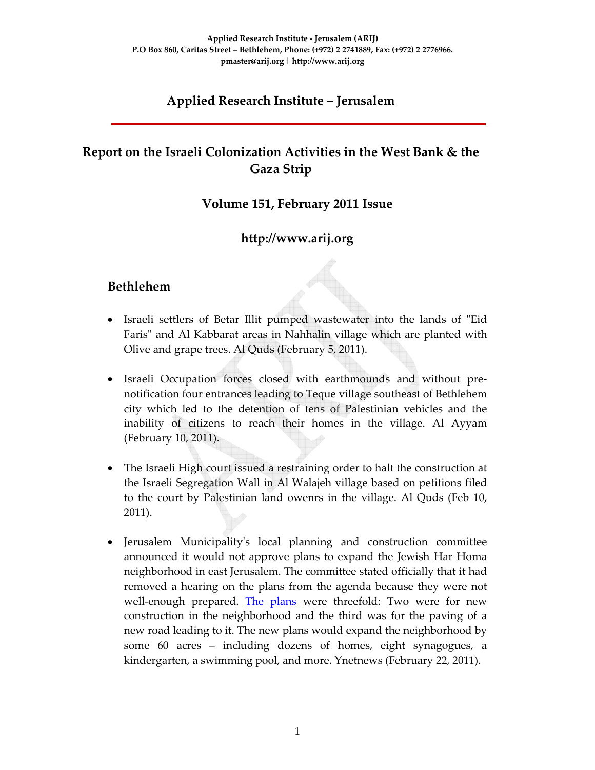# **Applied Research Institute – Jerusalem**

# **Report on the Israeli Colonization Activities in the West Bank & the Gaza Strip**

#### **Volume 151, February 2011 Issue**

## **http://www.arij.org**

#### **Bethlehem**

- Israeli settlers of Betar Illit pumped wastewater into the lands of "Eid" Faris" and Al Kabbarat areas in Nahhalin village which are planted with Olive and grape trees. Al Quds (February 5, 2011).
- Israeli Occupation forces closed with earthmounds and without pre‐ notification four entrances leading to Teque village southeast of Bethlehem city which led to the detention of tens of Palestinian vehicles and the inability of citizens to reach their homes in the village. Al Ayyam (February 10, 2011).
- The Israeli High court issued a restraining order to halt the construction at the Israeli Segregation Wall in Al Walajeh village based on petitions filed to the court by Palestinian land owenrs in the village. Al Quds (Feb 10, 2011).
- Jerusalem Municipalityʹs local planning and construction committee announced it would not approve plans to expand the Jewish Har Homa neighborhood in east Jerusalem. The committee stated officially that it had removed a hearing on the plans from the agenda because they were not well-enough prepared. The plans were threefold: Two were for new construction in the neighborhood and the third was for the paving of a new road leading to it. The new plans would expand the neighborhood by some 60 acres – including dozens of homes, eight synagogues, a kindergarten, a swimming pool, and more. Ynetnews (February 22, 2011).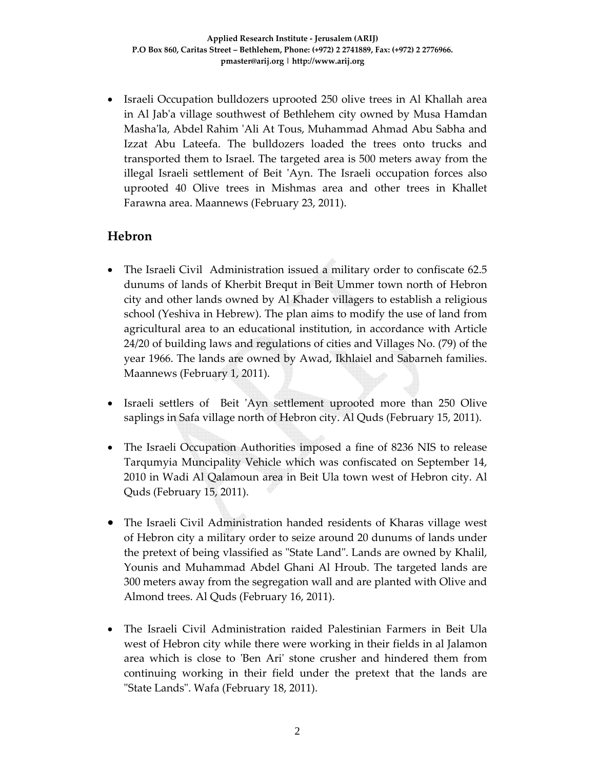• Israeli Occupation bulldozers uprooted 250 olive trees in Al Khallah area in Al Jabʹa village southwest of Bethlehem city owned by Musa Hamdan Mashaʹla, Abdel Rahim ʹAli At Tous, Muhammad Ahmad Abu Sabha and Izzat Abu Lateefa. The bulldozers loaded the trees onto trucks and transported them to Israel. The targeted area is 500 meters away from the illegal Israeli settlement of Beit 'Ayn. The Israeli occupation forces also uprooted 40 Olive trees in Mishmas area and other trees in Khallet Farawna area. Maannews (February 23, 2011).

### **Hebron**

- The Israeli Civil Administration issued a military order to confiscate 62.5 dunums of lands of Kherbit Brequt in Beit Ummer town north of Hebron city and other lands owned by Al Khader villagers to establish a religious school (Yeshiva in Hebrew). The plan aims to modify the use of land from agricultural area to an educational institution, in accordance with Article 24/20 of building laws and regulations of cities and Villages No. (79) of the year 1966. The lands are owned by Awad, Ikhlaiel and Sabarneh families. Maannews (February 1, 2011).
- Israeli settlers of Beit 'Ayn settlement uprooted more than 250 Olive saplings in Safa village north of Hebron city. Al Quds (February 15, 2011).
- The Israeli Occupation Authorities imposed a fine of 8236 NIS to release Tarqumyia Muncipality Vehicle which was confiscated on September 14, 2010 in Wadi Al Qalamoun area in Beit Ula town west of Hebron city. Al Quds (February 15, 2011).
- The Israeli Civil Administration handed residents of Kharas village west of Hebron city a military order to seize around 20 dunums of lands under the pretext of being vlassified as "State Land". Lands are owned by Khalil, Younis and Muhammad Abdel Ghani Al Hroub. The targeted lands are 300 meters away from the segregation wall and are planted with Olive and Almond trees. Al Quds (February 16, 2011).
- The Israeli Civil Administration raided Palestinian Farmers in Beit Ula west of Hebron city while there were working in their fields in al Jalamon area which is close to 'Ben Ari' stone crusher and hindered them from continuing working in their field under the pretext that the lands are ʺState Landsʺ. Wafa (February 18, 2011).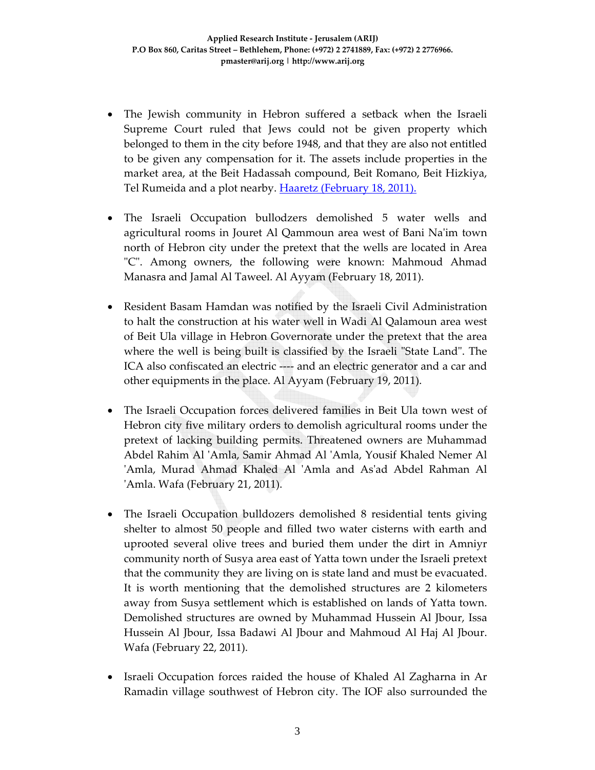- The Jewish community in Hebron suffered a setback when the Israeli Supreme Court ruled that Jews could not be given property which belonged to them in the city before 1948, and that they are also not entitled to be given any compensation for it. The assets include properties in the market area, at the Beit Hadassah compound, Beit Romano, Beit Hizkiya, Tel Rumeida and a plot nearby. Haaretz (February 18, 2011).
- The Israeli Occupation bullodzers demolished 5 water wells and agricultural rooms in Jouret Al Qammoun area west of Bani Naʹim town north of Hebron city under the pretext that the wells are located in Area ʺCʺ. Among owners, the following were known: Mahmoud Ahmad Manasra and Jamal Al Taweel. Al Ayyam (February 18, 2011).
- Resident Basam Hamdan was notified by the Israeli Civil Administration to halt the construction at his water well in Wadi Al Qalamoun area west of Beit Ula village in Hebron Governorate under the pretext that the area where the well is being built is classified by the Israeli "State Land". The ICA also confiscated an electric ‐‐‐‐ and an electric generator and a car and other equipments in the place. Al Ayyam (February 19, 2011).
- The Israeli Occupation forces delivered families in Beit Ula town west of Hebron city five military orders to demolish agricultural rooms under the pretext of lacking building permits. Threatened owners are Muhammad Abdel Rahim Al ʹAmla, Samir Ahmad Al ʹAmla, Yousif Khaled Nemer Al ʹAmla, Murad Ahmad Khaled Al ʹAmla and Asʹad Abdel Rahman Al ʹAmla. Wafa (February 21, 2011).
- The Israeli Occupation bulldozers demolished 8 residential tents giving shelter to almost 50 people and filled two water cisterns with earth and uprooted several olive trees and buried them under the dirt in Amniyr community north of Susya area east of Yatta town under the Israeli pretext that the community they are living on is state land and must be evacuated. It is worth mentioning that the demolished structures are 2 kilometers away from Susya settlement which is established on lands of Yatta town. Demolished structures are owned by Muhammad Hussein Al Jbour, Issa Hussein Al Jbour, Issa Badawi Al Jbour and Mahmoud Al Haj Al Jbour. Wafa (February 22, 2011).
- Israeli Occupation forces raided the house of Khaled Al Zagharna in Ar Ramadin village southwest of Hebron city. The IOF also surrounded the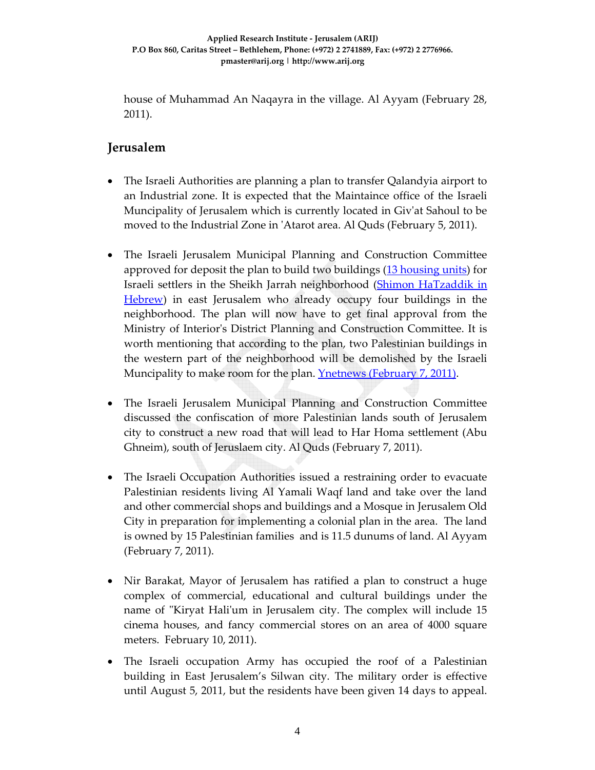house of Muhammad An Naqayra in the village. Al Ayyam (February 28, 2011).

### **Jerusalem**

- The Israeli Authorities are planning a plan to transfer Qalandyia airport to an Industrial zone. It is expected that the Maintaince office of the Israeli Muncipality of Jerusalem which is currently located in Givʹat Sahoul to be moved to the Industrial Zone in ʹAtarot area. Al Quds (February 5, 2011).
- The Israeli Jerusalem Municipal Planning and Construction Committee approved for deposit the plan to build two buildings (13 housing units) for Israeli settlers in the Sheikh Jarrah neighborhood (Shimon HaTzaddik in Hebrew) in east Jerusalem who already occupy four buildings in the neighborhood. The plan will now have to get final approval from the Ministry of Interiorʹs District Planning and Construction Committee. It is worth mentioning that according to the plan, two Palestinian buildings in the western part of the neighborhood will be demolished by the Israeli Muncipality to make room for the plan. **Ynetnews (February 7, 2011)**.
- The Israeli Jerusalem Municipal Planning and Construction Committee discussed the confiscation of more Palestinian lands south of Jerusalem city to construct a new road that will lead to Har Homa settlement (Abu Ghneim), south of Jeruslaem city. Al Quds (February 7, 2011).
- The Israeli Occupation Authorities issued a restraining order to evacuate Palestinian residents living Al Yamali Waqf land and take over the land and other commercial shops and buildings and a Mosque in Jerusalem Old City in preparation for implementing a colonial plan in the area. The land is owned by 15 Palestinian families and is 11.5 dunums of land. Al Ayyam (February 7, 2011).
- Nir Barakat, Mayor of Jerusalem has ratified a plan to construct a huge complex of commercial, educational and cultural buildings under the name of "Kiryat Hali'um in Jerusalem city. The complex will include 15 cinema houses, and fancy commercial stores on an area of 4000 square meters. February 10, 2011).
- The Israeli occupation Army has occupied the roof of a Palestinian building in East Jerusalem's Silwan city. The military order is effective until August 5, 2011, but the residents have been given 14 days to appeal.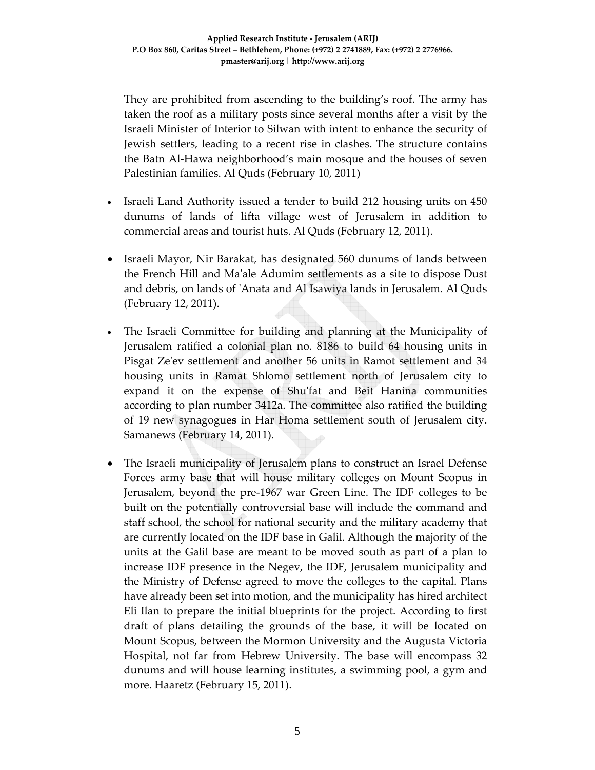They are prohibited from ascending to the building's roof. The army has taken the roof as a military posts since several months after a visit by the Israeli Minister of Interior to Silwan with intent to enhance the security of Jewish settlers, leading to a recent rise in clashes. The structure contains the Batn Al‐Hawa neighborhood's main mosque and the houses of seven Palestinian families. Al Quds (February 10, 2011)

- Israeli Land Authority issued a tender to build 212 housing units on 450 dunums of lands of lifta village west of Jerusalem in addition to commercial areas and tourist huts. Al Quds (February 12, 2011).
- Israeli Mayor, Nir Barakat, has designated 560 dunums of lands between the French Hill and Maʹale Adumim settlements as a site to dispose Dust and debris, on lands of ʹAnata and Al Isawiya lands in Jerusalem. Al Quds (February 12, 2011).
- The Israeli Committee for building and planning at the Municipality of Jerusalem ratified a colonial plan no. 8186 to build 64 housing units in Pisgat Zeʹev settlement and another 56 units in Ramot settlement and 34 housing units in Ramat Shlomo settlement north of Jerusalem city to expand it on the expense of Shuʹfat and Beit Hanina communities according to plan number 3412a. The committee also ratified the building of 19 new synagogue**s** in Har Homa settlement south of Jerusalem city. Samanews (February 14, 2011).
- The Israeli municipality of Jerusalem plans to construct an Israel Defense Forces army base that will house military colleges on Mount Scopus in Jerusalem, beyond the pre‐1967 war Green Line. The IDF colleges to be built on the potentially controversial base will include the command and staff school, the school for national security and the military academy that are currently located on the IDF base in Galil. Although the majority of the units at the Galil base are meant to be moved south as part of a plan to increase IDF presence in the Negev, the IDF, Jerusalem municipality and the Ministry of Defense agreed to move the colleges to the capital. Plans have already been set into motion, and the municipality has hired architect Eli Ilan to prepare the initial blueprints for the project. According to first draft of plans detailing the grounds of the base, it will be located on Mount Scopus, between the Mormon University and the Augusta Victoria Hospital, not far from Hebrew University. The base will encompass 32 dunums and will house learning institutes, a swimming pool, a gym and more. Haaretz (February 15, 2011).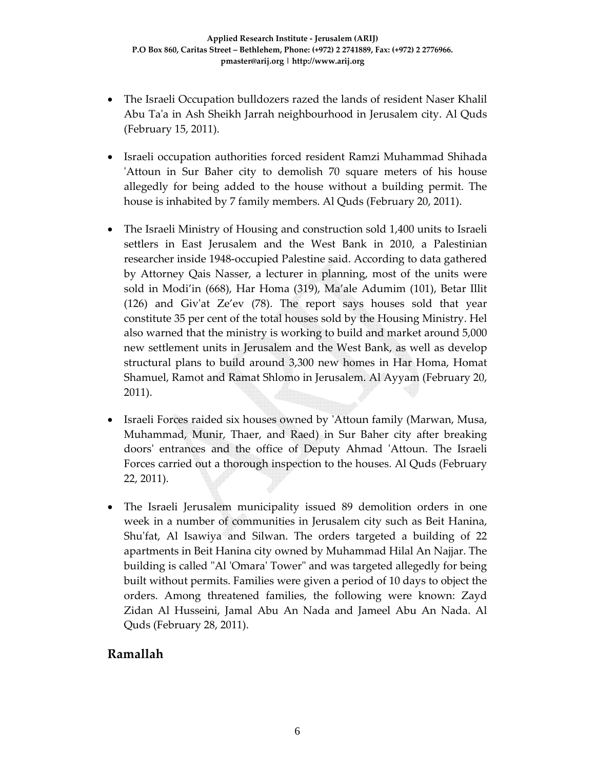- The Israeli Occupation bulldozers razed the lands of resident Naser Khalil Abu Taʹa in Ash Sheikh Jarrah neighbourhood in Jerusalem city. Al Quds (February 15, 2011).
- Israeli occupation authorities forced resident Ramzi Muhammad Shihada ʹAttoun in Sur Baher city to demolish 70 square meters of his house allegedly for being added to the house without a building permit. The house is inhabited by 7 family members. Al Quds (February 20, 2011).
- The Israeli Ministry of Housing and construction sold 1,400 units to Israeli settlers in East Jerusalem and the West Bank in 2010, a Palestinian researcher inside 1948‐occupied Palestine said. According to data gathered by Attorney Qais Nasser, a lecturer in planning, most of the units were sold in Modi'in (668), Har Homa (319), Ma'ale Adumim (101), Betar Illit (126) and Givʹat Ze'ev (78). The report says houses sold that year constitute 35 per cent of the total houses sold by the Housing Ministry. Hel also warned that the ministry is working to build and market around 5,000 new settlement units in Jerusalem and the West Bank, as well as develop structural plans to build around 3,300 new homes in Har Homa, Homat Shamuel, Ramot and Ramat Shlomo in Jerusalem. Al Ayyam (February 20, 2011).
- Israeli Forces raided six houses owned by 'Attoun family (Marwan, Musa, Muhammad, Munir, Thaer, and Raed) in Sur Baher city after breaking doorsʹ entrances and the office of Deputy Ahmad ʹAttoun. The Israeli Forces carried out a thorough inspection to the houses. Al Quds (February 22, 2011).
- The Israeli Jerusalem municipality issued 89 demolition orders in one week in a number of communities in Jerusalem city such as Beit Hanina, Shu'fat, Al Isawiya and Silwan. The orders targeted a building of 22 apartments in Beit Hanina city owned by Muhammad Hilal An Najjar. The building is called "Al 'Omara' Tower" and was targeted allegedly for being built without permits. Families were given a period of 10 days to object the orders. Among threatened families, the following were known: Zayd Zidan Al Husseini, Jamal Abu An Nada and Jameel Abu An Nada. Al Quds (February 28, 2011).

## **Ramallah**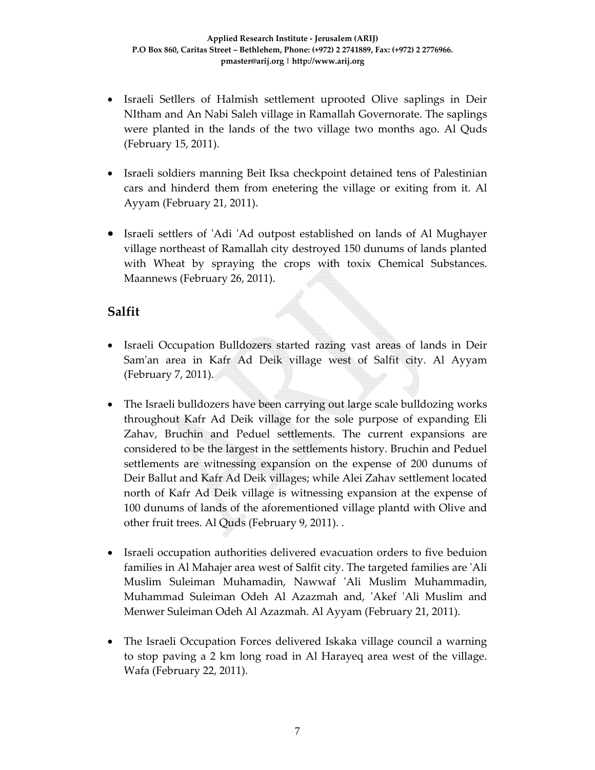- Israeli Setllers of Halmish settlement uprooted Olive saplings in Deir NItham and An Nabi Saleh village in Ramallah Governorate. The saplings were planted in the lands of the two village two months ago. Al Quds (February 15, 2011).
- Israeli soldiers manning Beit Iksa checkpoint detained tens of Palestinian cars and hinderd them from enetering the village or exiting from it. Al Ayyam (February 21, 2011).
- Israeli settlers of 'Adi 'Ad outpost established on lands of Al Mughayer village northeast of Ramallah city destroyed 150 dunums of lands planted with Wheat by spraying the crops with toxix Chemical Substances. Maannews (February 26, 2011).

### **Salfit**

- Israeli Occupation Bulldozers started razing vast areas of lands in Deir Sam'an area in Kafr Ad Deik village west of Salfit city. Al Ayyam (February 7, 2011).
- The Israeli bulldozers have been carrying out large scale bulldozing works throughout Kafr Ad Deik village for the sole purpose of expanding Eli Zahav, Bruchin and Peduel settlements. The current expansions are considered to be the largest in the settlements history. Bruchin and Peduel settlements are witnessing expansion on the expense of 200 dunums of Deir Ballut and Kafr Ad Deik villages; while Alei Zahav settlement located north of Kafr Ad Deik village is witnessing expansion at the expense of 100 dunums of lands of the aforementioned village plantd with Olive and other fruit trees. Al Quds (February 9, 2011). .
- Israeli occupation authorities delivered evacuation orders to five beduion families in Al Mahajer area west of Salfit city. The targeted families are ʹAli Muslim Suleiman Muhamadin, Nawwaf ʹAli Muslim Muhammadin, Muhammad Suleiman Odeh Al Azazmah and, ʹAkef ʹAli Muslim and Menwer Suleiman Odeh Al Azazmah. Al Ayyam (February 21, 2011).
- The Israeli Occupation Forces delivered Iskaka village council a warning to stop paving a 2 km long road in Al Harayeq area west of the village. Wafa (February 22, 2011).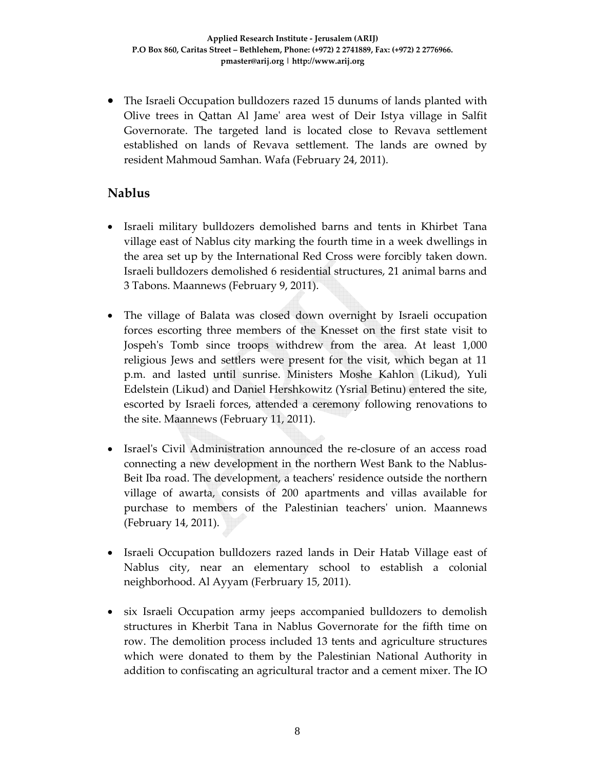• The Israeli Occupation bulldozers razed 15 dunums of lands planted with Olive trees in Qattan Al Jameʹ area west of Deir Istya village in Salfit Governorate. The targeted land is located close to Revava settlement established on lands of Revava settlement. The lands are owned by resident Mahmoud Samhan. Wafa (February 24, 2011).

### **Nablus**

- Israeli military bulldozers demolished barns and tents in Khirbet Tana village east of Nablus city marking the fourth time in a week dwellings in the area set up by the International Red Cross were forcibly taken down. Israeli bulldozers demolished 6 residential structures, 21 animal barns and 3 Tabons. Maannews (February 9, 2011).
- The village of Balata was closed down overnight by Israeli occupation forces escorting three members of the Knesset on the first state visit to Jospehʹs Tomb since troops withdrew from the area. At least 1,000 religious Jews and settlers were present for the visit, which began at 11 p.m. and lasted until sunrise. Ministers Moshe Kahlon (Likud), Yuli Edelstein (Likud) and Daniel Hershkowitz (Ysrial Betinu) entered the site, escorted by Israeli forces, attended a ceremony following renovations to the site. Maannews (February 11, 2011).
- Israel's Civil Administration announced the re-closure of an access road connecting a new development in the northern West Bank to the Nablus‐ Beit Iba road. The development, a teachersʹ residence outside the northern village of awarta, consists of 200 apartments and villas available for purchase to members of the Palestinian teachersʹ union. Maannews (February 14, 2011).
- Israeli Occupation bulldozers razed lands in Deir Hatab Village east of Nablus city, near an elementary school to establish a colonial neighborhood. Al Ayyam (Ferbruary 15, 2011).
- six Israeli Occupation army jeeps accompanied bulldozers to demolish structures in Kherbit Tana in Nablus Governorate for the fifth time on row. The demolition process included 13 tents and agriculture structures which were donated to them by the Palestinian National Authority in addition to confiscating an agricultural tractor and a cement mixer. The IO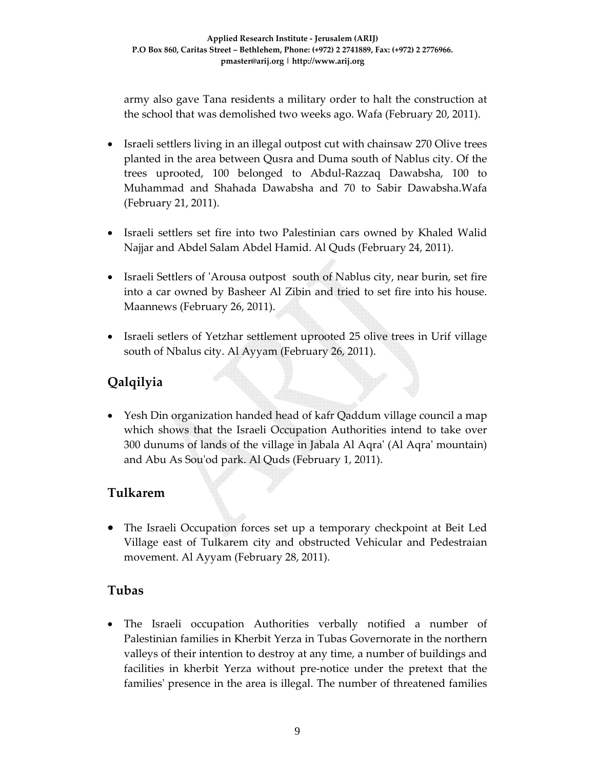army also gave Tana residents a military order to halt the construction at the school that was demolished two weeks ago. Wafa (February 20, 2011).

- Israeli settlers living in an illegal outpost cut with chainsaw 270 Olive trees planted in the area between Qusra and Duma south of Nablus city. Of the trees uprooted, 100 belonged to Abdul‐Razzaq Dawabsha, 100 to Muhammad and Shahada Dawabsha and 70 to Sabir Dawabsha.Wafa (February 21, 2011).
- Israeli settlers set fire into two Palestinian cars owned by Khaled Walid Najjar and Abdel Salam Abdel Hamid. Al Quds (February 24, 2011).
- Israeli Settlers of 'Arousa outpost south of Nablus city, near burin, set fire into a car owned by Basheer Al Zibin and tried to set fire into his house. Maannews (February 26, 2011).
- Israeli setlers of Yetzhar settlement uprooted 25 olive trees in Urif village south of Nbalus city. Al Ayyam (February 26, 2011).

# **Qalqilyia**

• Yesh Din organization handed head of kafr Qaddum village council a map which shows that the Israeli Occupation Authorities intend to take over 300 dunums of lands of the village in Jabala Al Aqraʹ (Al Aqraʹ mountain) and Abu As Souʹod park. Al Quds (February 1, 2011).

## **Tulkarem**

• The Israeli Occupation forces set up a temporary checkpoint at Beit Led Village east of Tulkarem city and obstructed Vehicular and Pedestraian movement. Al Ayyam (February 28, 2011).

## **Tubas**

• The Israeli occupation Authorities verbally notified a number of Palestinian families in Kherbit Yerza in Tubas Governorate in the northern valleys of their intention to destroy at any time, a number of buildings and facilities in kherbit Yerza without pre‐notice under the pretext that the families' presence in the area is illegal. The number of threatened families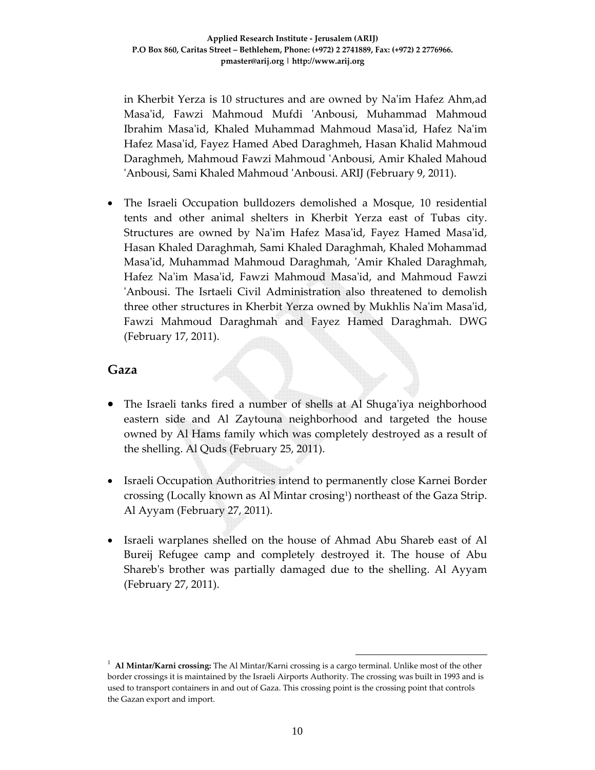in Kherbit Yerza is 10 structures and are owned by Naʹim Hafez Ahm,ad Masaʹid, Fawzi Mahmoud Mufdi ʹAnbousi, Muhammad Mahmoud Ibrahim Masaʹid, Khaled Muhammad Mahmoud Masaʹid, Hafez Naʹim Hafez Masaʹid, Fayez Hamed Abed Daraghmeh, Hasan Khalid Mahmoud Daraghmeh, Mahmoud Fawzi Mahmoud ʹAnbousi, Amir Khaled Mahoud ʹAnbousi, Sami Khaled Mahmoud ʹAnbousi. ARIJ (February 9, 2011).

• The Israeli Occupation bulldozers demolished a Mosque, 10 residential tents and other animal shelters in Kherbit Yerza east of Tubas city. Structures are owned by Naʹim Hafez Masaʹid, Fayez Hamed Masaʹid, Hasan Khaled Daraghmah, Sami Khaled Daraghmah, Khaled Mohammad Masaʹid, Muhammad Mahmoud Daraghmah, ʹAmir Khaled Daraghmah, Hafez Na'im Masa'id, Fawzi Mahmoud Masa'id, and Mahmoud Fawzi ʹAnbousi. The Isrtaeli Civil Administration also threatened to demolish three other structures in Kherbit Yerza owned by Mukhlis Naʹim Masaʹid, Fawzi Mahmoud Daraghmah and Fayez Hamed Daraghmah. DWG (February 17, 2011).

#### **Gaza**

- The Israeli tanks fired a number of shells at Al Shuga'iya neighborhood eastern side and Al Zaytouna neighborhood and targeted the house owned by Al Hams family which was completely destroyed as a result of the shelling. Al Quds (February 25, 2011).
- Israeli Occupation Authoritries intend to permanently close Karnei Border crossing (Locally known as Al Mintar crosing<sup>1</sup>) northeast of the Gaza Strip. Al Ayyam (February 27, 2011).
- Israeli warplanes shelled on the house of Ahmad Abu Shareb east of Al Bureij Refugee camp and completely destroyed it. The house of Abu Sharebʹs brother was partially damaged due to the shelling. Al Ayyam (February 27, 2011).

 <sup>1</sup> **Al Mintar/Karni crossing:** The Al Mintar/Karni crossing is a cargo terminal. Unlike most of the other border crossings it is maintained by the Israeli Airports Authority. The crossing was built in 1993 and is used to transport containers in and out of Gaza. This crossing point is the crossing point that controls the Gazan export and import.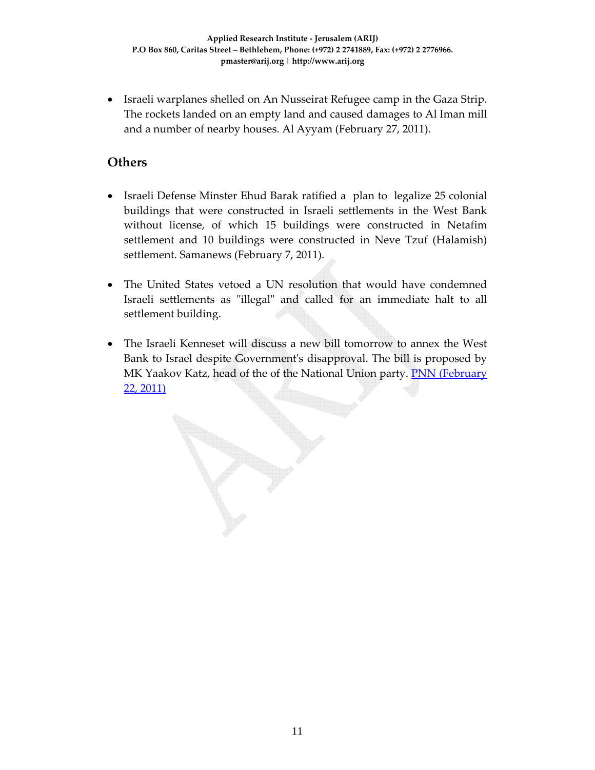• Israeli warplanes shelled on An Nusseirat Refugee camp in the Gaza Strip. The rockets landed on an empty land and caused damages to Al Iman mill and a number of nearby houses. Al Ayyam (February 27, 2011).

### **Others**

- Israeli Defense Minster Ehud Barak ratified a plan to legalize 25 colonial buildings that were constructed in Israeli settlements in the West Bank without license, of which 15 buildings were constructed in Netafim settlement and 10 buildings were constructed in Neve Tzuf (Halamish) settlement. Samanews (February 7, 2011).
- The United States vetoed a UN resolution that would have condemned Israeli settlements as "illegal" and called for an immediate halt to all settlement building.
- The Israeli Kenneset will discuss a new bill tomorrow to annex the West Bank to Israel despite Governmentʹs disapproval. The bill is proposed by MK Yaakov Katz, head of the of the National Union party. **PNN (February** 22, 2011)